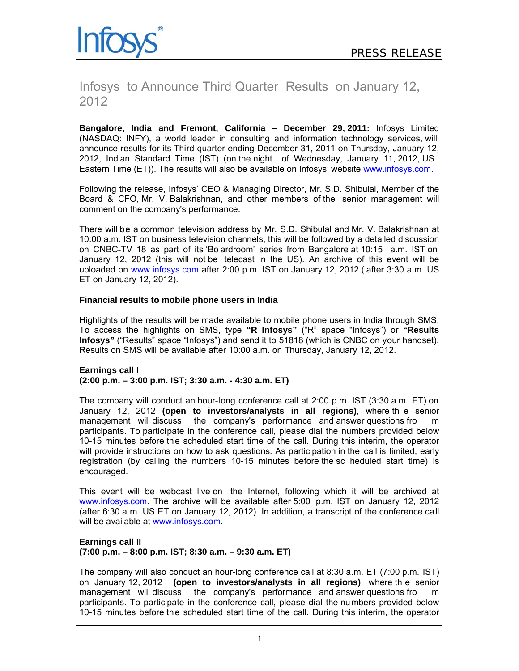

# Infosys to Announce Third Quarter Results on January 12, 2012

**Bangalore, India and Fremont, California – December 29, 2011:** Infosys Limited (NASDAQ: INFY), a world leader in consulting and information technology services, will announce results for its Third quarter ending December 31, 2011 on Thursday, January 12, 2012, Indian Standard Time (IST) (on the night of Wednesday, January 11, 2012, US Eastern Time (ET)). The results will also be available on Infosys' website www.infosys.com.

Following the release, Infosys' CEO & Managing Director, Mr. S.D. Shibulal, Member of the Board & CFO, Mr. V. Balakrishnan, and other members of the senior management will comment on the company's performance.

There will be a common television address by Mr. S.D. Shibulal and Mr. V. Balakrishnan at 10:00 a.m. IST on business television channels, this will be followed by a detailed discussion on CNBC-TV 18 as part of its 'Bo ardroom' series from Bangalore at 10:15 a.m. IST on January 12, 2012 (this will not be telecast in the US). An archive of this event will be uploaded on www.infosys.com after 2:00 p.m. IST on January 12, 2012 ( after 3:30 a.m. US ET on January 12, 2012).

# **Financial results to mobile phone users in India**

Highlights of the results will be made available to mobile phone users in India through SMS. To access the highlights on SMS, type **"R Infosys"** ("R" space "Infosys") or **"Results Infosys"** ("Results" space "Infosys") and send it to 51818 (which is CNBC on your handset). Results on SMS will be available after 10:00 a.m. on Thursday, January 12, 2012.

## **Earnings call I (2:00 p.m. – 3:00 p.m. IST; 3:30 a.m. - 4:30 a.m. ET)**

The company will conduct an hour-long conference call at 2:00 p.m. IST (3:30 a.m. ET) on January 12, 2012 **(open to investors/analysts in all regions)**, where th e senior management will discuss the company's performance and answer questions fro m participants. To participate in the conference call, please dial the numbers provided below 10-15 minutes before the scheduled start time of the call. During this interim, the operator will provide instructions on how to ask questions. As participation in the call is limited, early registration (by calling the numbers 10-15 minutes before the sc heduled start time) is encouraged.

This event will be webcast live on the Internet, following which it will be archived at www.infosys.com. The archive will be available after 5:00 p.m. IST on January 12, 2012 (after 6:30 a.m. US ET on January 12, 2012). In addition, a transcript of the conference call will be available at www.infosys.com.

## **Earnings call II (7:00 p.m. – 8:00 p.m. IST; 8:30 a.m. – 9:30 a.m. ET)**

The company will also conduct an hour-long conference call at 8:30 a.m. ET (7:00 p.m. IST) on January 12, 2012 **(open to investors/analysts in all regions)**, where th e senior management will discuss the company's performance and answer questions fro m participants. To participate in the conference call, please dial the numbers provided below 10-15 minutes before the scheduled start time of the call. During this interim, the operator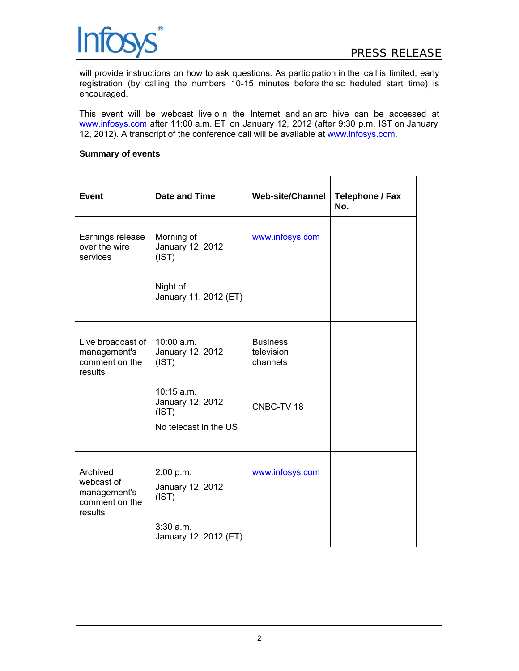

will provide instructions on how to ask questions. As participation in the call is limited, early registration (by calling the numbers 10-15 minutes before the sc heduled start time) is encouraged.

This event will be webcast live o n the Internet and an arc hive can be accessed at www.infosys.com after 11:00 a.m. ET on January 12, 2012 (after 9:30 p.m. IST on January 12, 2012). A transcript of the conference call will be available at www.infosys.com.

## **Summary of events**

| <b>Event</b>                                                        | Date and Time                                                      | <b>Web-site/Channel</b>                   | <b>Telephone / Fax</b><br>No. |
|---------------------------------------------------------------------|--------------------------------------------------------------------|-------------------------------------------|-------------------------------|
| Earnings release<br>over the wire<br>services                       | Morning of<br>January 12, 2012<br>(IST)                            | www.infosys.com                           |                               |
|                                                                     | Night of<br>January 11, 2012 (ET)                                  |                                           |                               |
| Live broadcast of<br>management's<br>comment on the<br>results      | 10:00 a.m.<br>January 12, 2012<br>(IST)                            | <b>Business</b><br>television<br>channels |                               |
|                                                                     | $10:15$ a.m.<br>January 12, 2012<br>(IST)<br>No telecast in the US | CNBC-TV 18                                |                               |
| Archived<br>webcast of<br>management's<br>comment on the<br>results | 2:00 p.m.<br>January 12, 2012<br>(IST)                             | www.infosys.com                           |                               |
|                                                                     | $3:30$ a.m.<br>January 12, 2012 (ET)                               |                                           |                               |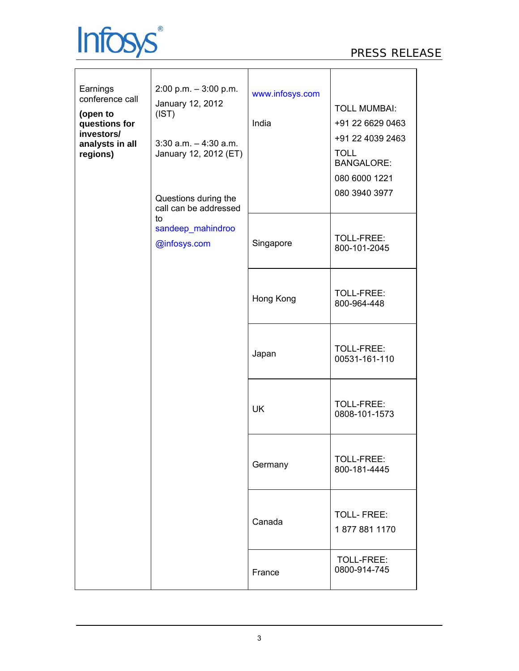

| Earnings<br>conference call<br>(open to<br>questions for<br>investors/<br>analysts in all<br>regions) | $2:00$ p.m. $-3:00$ p.m.<br>January 12, 2012<br>(IST)<br>$3:30$ a.m. $-4:30$ a.m.<br>January 12, 2012 (ET)<br>Questions during the<br>call can be addressed<br>to<br>sandeep_mahindroo<br>@infosys.com | www.infosys.com<br>India | <b>TOLL MUMBAI:</b><br>+91 22 6629 0463<br>+91 22 4039 2463<br><b>TOLL</b><br><b>BANGALORE:</b><br>080 6000 1221<br>080 3940 3977 |
|-------------------------------------------------------------------------------------------------------|--------------------------------------------------------------------------------------------------------------------------------------------------------------------------------------------------------|--------------------------|-----------------------------------------------------------------------------------------------------------------------------------|
|                                                                                                       |                                                                                                                                                                                                        | Singapore                | TOLL-FREE:<br>800-101-2045                                                                                                        |
|                                                                                                       |                                                                                                                                                                                                        | Hong Kong                | TOLL-FREE:<br>800-964-448                                                                                                         |
|                                                                                                       |                                                                                                                                                                                                        | Japan                    | TOLL-FREE:<br>00531-161-110                                                                                                       |
|                                                                                                       |                                                                                                                                                                                                        | <b>UK</b>                | TOLL-FREE:<br>0808-101-1573                                                                                                       |
|                                                                                                       |                                                                                                                                                                                                        | Germany                  | TOLL-FREE:<br>800-181-4445                                                                                                        |
|                                                                                                       |                                                                                                                                                                                                        | Canada                   | <b>TOLL-FREE:</b><br>18778811170                                                                                                  |
|                                                                                                       |                                                                                                                                                                                                        | France                   | TOLL-FREE:<br>0800-914-745                                                                                                        |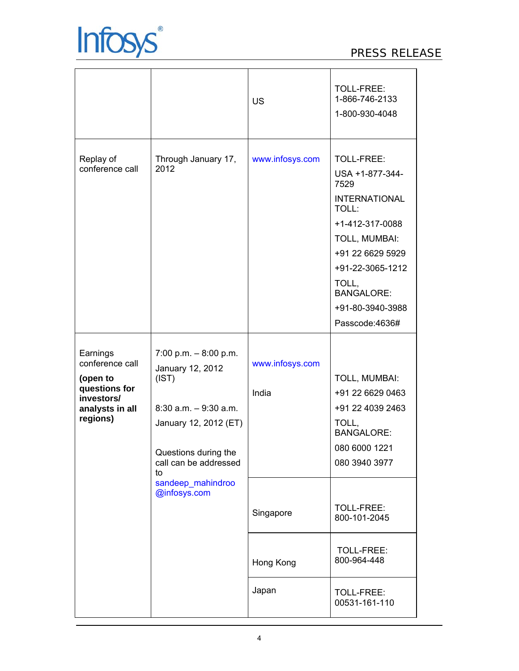

|                                                                                                       |                                                                                                                                                                                                      | <b>US</b>                                                   | TOLL-FREE:<br>1-866-746-2133<br>1-800-930-4048                                                                                                                                                                         |
|-------------------------------------------------------------------------------------------------------|------------------------------------------------------------------------------------------------------------------------------------------------------------------------------------------------------|-------------------------------------------------------------|------------------------------------------------------------------------------------------------------------------------------------------------------------------------------------------------------------------------|
| Replay of<br>conference call                                                                          | Through January 17,<br>2012                                                                                                                                                                          | www.infosys.com                                             | TOLL-FREE:<br>USA +1-877-344-<br>7529<br><b>INTERNATIONAL</b><br>TOLL:<br>+1-412-317-0088<br>TOLL, MUMBAI:<br>+91 22 6629 5929<br>+91-22-3065-1212<br>TOLL,<br><b>BANGALORE:</b><br>+91-80-3940-3988<br>Passcode:4636# |
| Earnings<br>conference call<br>(open to<br>questions for<br>investors/<br>analysts in all<br>regions) | 7:00 p.m. $-8:00$ p.m.<br>January 12, 2012<br>(IST)<br>$8:30$ a.m. $-9:30$ a.m.<br>January 12, 2012 (ET)<br>Questions during the<br>call can be addressed<br>to<br>sandeep_mahindroo<br>@infosys.com | www.infosys.com<br>India<br>Singapore<br>Hong Kong<br>Japan | TOLL, MUMBAI:<br>+91 22 6629 0463<br>+91 22 4039 2463<br>TOLL,<br><b>BANGALORE:</b><br>080 6000 1221<br>080 3940 3977<br>TOLL-FREE:<br>800-101-2045<br>TOLL-FREE:<br>800-964-448<br>TOLL-FREE:<br>00531-161-110        |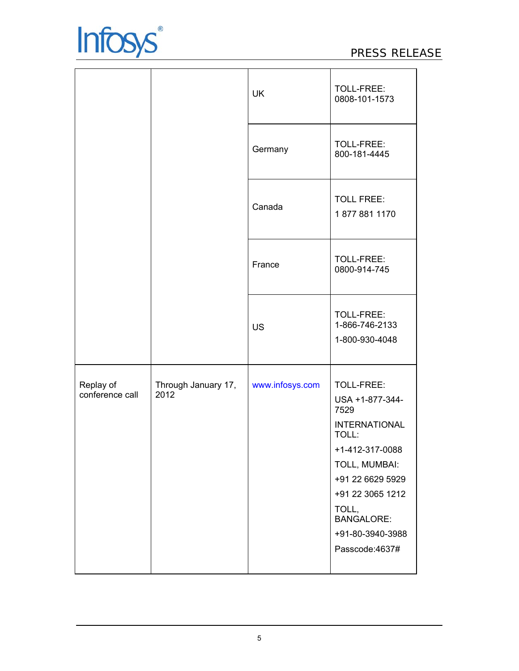

|                              |                             | <b>UK</b>       | TOLL-FREE:<br>0808-101-1573                                                                                                                                                                                            |
|------------------------------|-----------------------------|-----------------|------------------------------------------------------------------------------------------------------------------------------------------------------------------------------------------------------------------------|
|                              |                             | Germany         | TOLL-FREE:<br>800-181-4445                                                                                                                                                                                             |
|                              |                             | Canada          | <b>TOLL FREE:</b><br>18778811170                                                                                                                                                                                       |
|                              |                             | France          | TOLL-FREE:<br>0800-914-745                                                                                                                                                                                             |
|                              |                             | <b>US</b>       | TOLL-FREE:<br>1-866-746-2133<br>1-800-930-4048                                                                                                                                                                         |
| Replay of<br>conference call | Through January 17,<br>2012 | www.infosys.com | TOLL-FREE:<br>USA +1-877-344-<br>7529<br><b>INTERNATIONAL</b><br>TOLL:<br>+1-412-317-0088<br>TOLL, MUMBAI:<br>+91 22 6629 5929<br>+91 22 3065 1212<br>TOLL,<br><b>BANGALORE:</b><br>+91-80-3940-3988<br>Passcode:4637# |